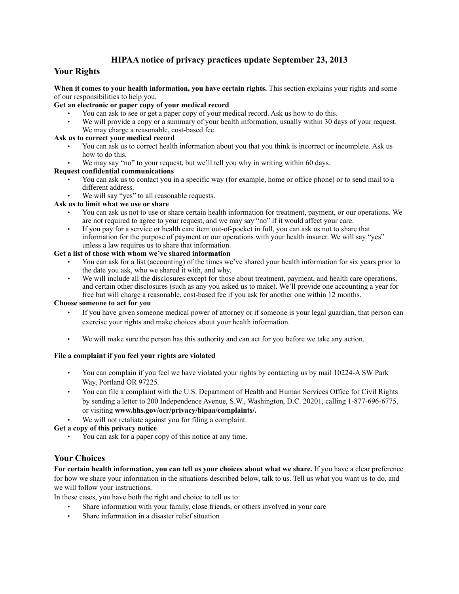# **HIPAA notice of privacy practices update September 23, 2013**

# **Your Rights**

### **When it comes to your health information, you have certain rights.** This section explains your rights and some of our responsibilities to help you.

# **Get an electronic or paper copy of your medical record**

- You can ask to see or get a paper copy of your medical record. Ask us how to do this.
- We will provide a copy or a summary of your health information, usually within 30 days of your request. We may charge a reasonable, cost-based fee.

### **Ask us to correct your medical record**

- You can ask us to correct health information about you that you think is incorrect or incomplete. Ask us how to do this.
- We may say "no" to your request, but we'll tell you why in writing within 60 days.

### **Request confidential communications**

- You can ask us to contact you in a specific way (for example, home or office phone) or to send mail to a different address.
	- We will say "yes" to all reasonable requests.

# **Ask us to limit what we use or share**

- You can ask us not to use or share certain health information for treatment, payment, or our operations. We are not required to agree to your request, and we may say "no" if it would affect your care.
- If you pay for a service or health care item out-of-pocket in full, you can ask us not to share that information for the purpose of payment or our operations with your health insurer. We will say "yes" unless a law requires us to share that information.

# **Get a list of those with whom we've shared information**

- You can ask for a list (accounting) of the times we've shared your health information for six years prior to the date you ask, who we shared it with, and why.
- We will include all the disclosures except for those about treatment, payment, and health care operations, and certain other disclosures (such as any you asked us to make). We'll provide one accounting a year for free but will charge a reasonable, cost-based fee if you ask for another one within 12 months.

#### **Choose someone to act for you**

- If you have given someone medical power of attorney or if someone is your legal guardian, that person can exercise your rights and make choices about your health information.
- We will make sure the person has this authority and can act for you before we take any action.

# **File a complaint if you feel your rights are violated**

- You can complain if you feel we have violated your rights by contacting us by mail 10224-A SW Park Way, Portland OR 97225.
- You can file a complaint with the U.S. Department of Health and Human Services Office for Civil Rights by sending a letter to 200 Independence Avenue, S.W., Washington, D.C. 20201, calling 1-877-696-6775, or visiting **www.hhs.gov/ocr/privacy/hipaa/complaints/.**
- We will not retaliate against you for filing a complaint.

# **Get a copy of this privacy notice**

• You can ask for a paper copy of this notice at any time.

# **Your Choices**

**For certain health information, you can tell us your choices about what we share.** If you have a clear preference for how we share your information in the situations described below, talk to us. Tell us what you want us to do, and we will follow your instructions.

In these cases, you have both the right and choice to tell us to:

- Share information with your family, close friends, or others involved in your care
- Share information in a disaster relief situation